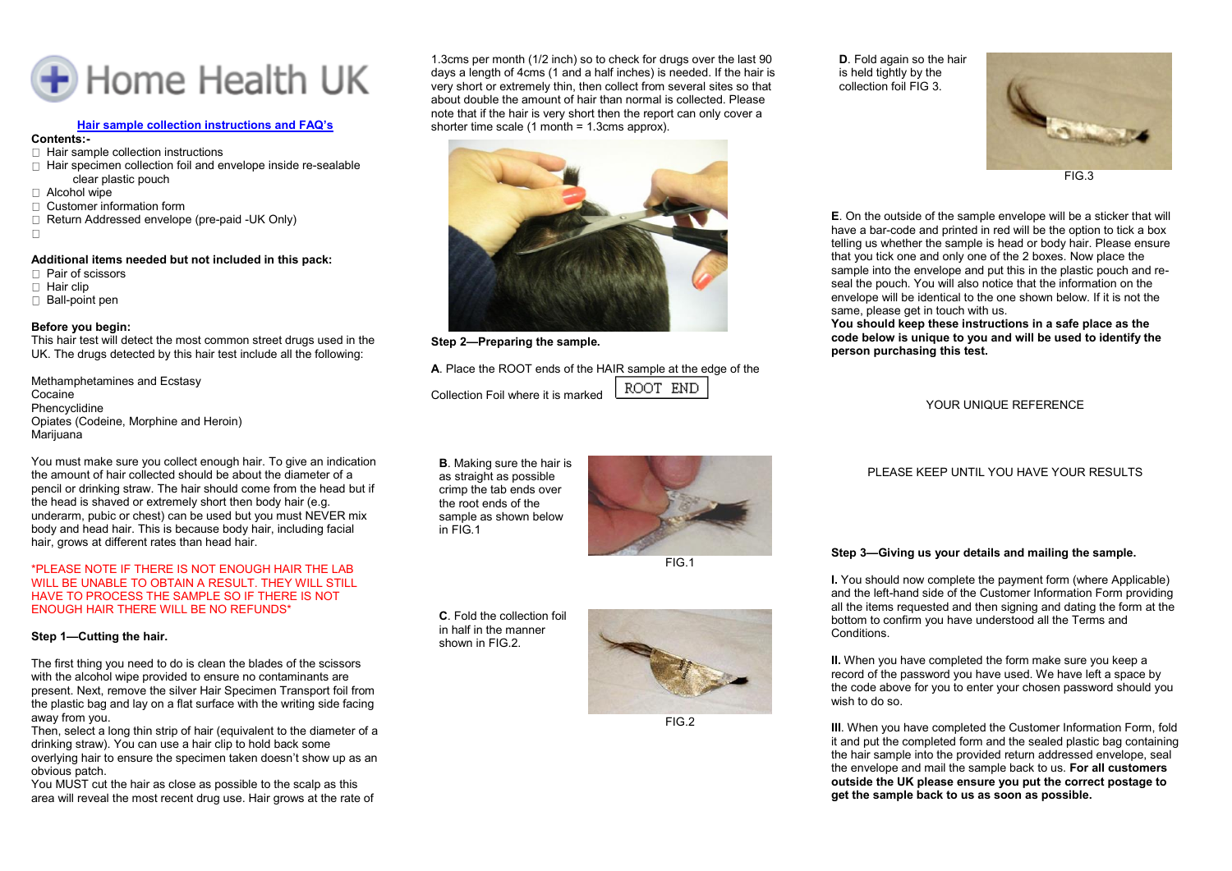

## **Hair sample collection instructions and FAQ's**

## **Contents:-**

- $\Box$  Hair sample collection instructions
- □ Hair specimen collection foil and envelope inside re-sealable clear plastic pouch
- $\Box$  Alcohol wipe
- Customer information form
- □ Return Addressed envelope (pre-paid -UK Only)
- $\Box$

#### **Additional items needed but not included in this pack:**

- □ Pair of scissors
- $\Box$  Hair clip
- □ Ball-point pen

#### **Before you begin:**

This hair test will detect the most common street drugs used in the UK. The drugs detected by this hair test include all the following:

Methamphetamines and Ecstasy Cocaine Phencyclidine Opiates (Codeine, Morphine and Heroin) Marijuana

You must make sure you collect enough hair. To give an indication the amount of hair collected should be about the diameter of a pencil or drinking straw. The hair should come from the head but if the head is shaved or extremely short then body hair (e.g. underarm, pubic or chest) can be used but you must NEVER mix body and head hair. This is because body hair, including facial hair, grows at different rates than head hair.

#### \*PLEASE NOTE IF THERE IS NOT ENOUGH HAIR THE LAB WILL BE UNABLE TO OBTAIN A RESULT. THEY WILL STILL HAVE TO PROCESS THE SAMPLE SO IF THERE IS NOT ENOUGH HAIR THERE WILL BE NO REFUNDS\*

#### **Step 1—Cutting the hair.**

The first thing you need to do is clean the blades of the scissors with the alcohol wipe provided to ensure no contaminants are present. Next, remove the silver Hair Specimen Transport foil from the plastic bag and lay on a flat surface with the writing side facing away from you.

Then, select a long thin strip of hair (equivalent to the diameter of a drinking straw). You can use a hair clip to hold back some overlying hair to ensure the specimen taken doesn't show up as an obvious patch.

You MUST cut the hair as close as possible to the scalp as this area will reveal the most recent drug use. Hair grows at the rate of 1.3cms per month (1/2 inch) so to check for drugs over the last 90 days a length of 4cms (1 and a half inches) is needed. If the hair is very short or extremely thin, then collect from several sites so that about double the amount of hair than normal is collected. Please note that if the hair is very short then the report can only cover a shorter time scale (1 month = 1.3cms approx).



**Step 2—Preparing the sample.**

#### **A**. Place the ROOT ends of the HAIR sample at the edge of the

Collection Foil where it is marked

**B**. Making sure the hair is as straight as possible crimp the tab ends over the root ends of the sample as shown below in FIG.1



ROOT END

FIG.1

**C**. Fold the collection foil in half in the manner shown in FIG 2



FIG.2

**D**. Fold again so the hair is held tightly by the collection foil FIG 3.



FIG.3

**E**. On the outside of the sample envelope will be a sticker that will have a bar-code and printed in red will be the option to tick a box telling us whether the sample is head or body hair. Please ensure that you tick one and only one of the 2 boxes. Now place the sample into the envelope and put this in the plastic pouch and reseal the pouch. You will also notice that the information on the envelope will be identical to the one shown below. If it is not the same, please get in touch with us.

**You should keep these instructions in a safe place as the code below is unique to you and will be used to identify the person purchasing this test.**

YOUR UNIQUE REFERENCE

PLEASE KEEP UNTIL YOU HAVE YOUR RESULTS

# **Step 3—Giving us your details and mailing the sample.**

**I.** You should now complete the payment form (where Applicable) and the left-hand side of the Customer Information Form providing all the items requested and then signing and dating the form at the bottom to confirm you have understood all the Terms and Conditions.

**II.** When you have completed the form make sure you keep a record of the password you have used. We have left a space by the code above for you to enter your chosen password should you wish to do so.

**III**. When you have completed the Customer Information Form, fold it and put the completed form and the sealed plastic bag containing the hair sample into the provided return addressed envelope, seal the envelope and mail the sample back to us. **For all customers outside the UK please ensure you put the correct postage to get the sample back to us as soon as possible.**